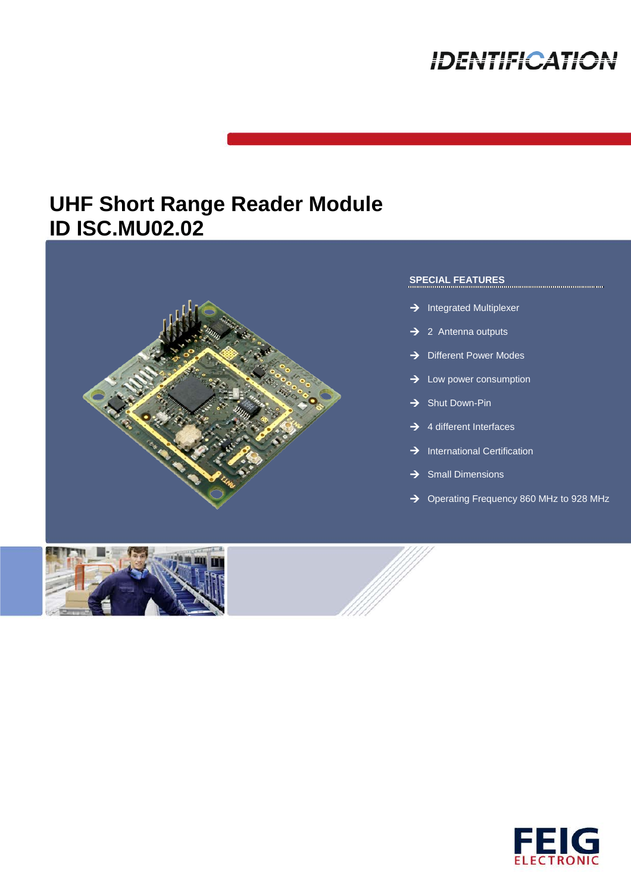# **IDENTIFICATION**

## **UHF Short Range Reader Module ID ISC.MU02.02**





### **SPECIAL FEATURES**

- $\rightarrow$  Integrated Multiplexer
- $\rightarrow$  2 Antenna outputs
- $\rightarrow$  Different Power Modes
- $\rightarrow$  Low power consumption
- $\rightarrow$  Shut Down-Pin
- $\rightarrow$  4 different Interfaces
- $\rightarrow$  International Certification
- $\rightarrow$  Small Dimensions
- → Operating Frequency 860 MHz to 928 MHz